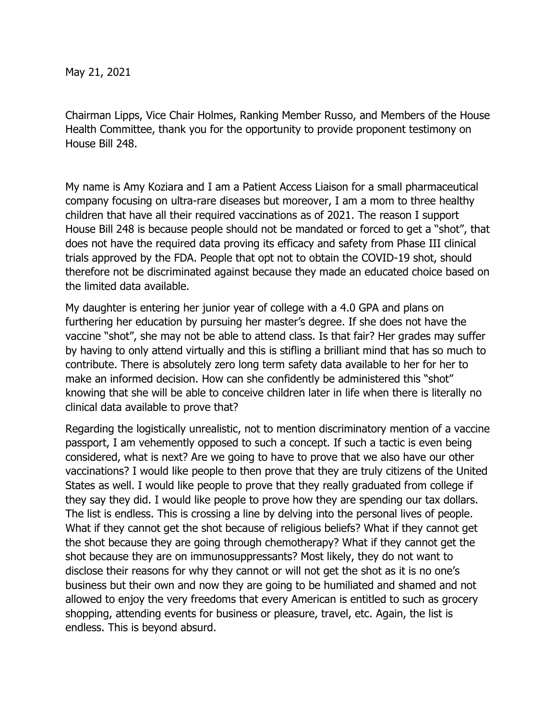May 21, 2021

Chairman Lipps, Vice Chair Holmes, Ranking Member Russo, and Members of the House Health Committee, thank you for the opportunity to provide proponent testimony on House Bill 248.

My name is Amy Koziara and I am a Patient Access Liaison for a small pharmaceutical company focusing on ultra-rare diseases but moreover, I am a mom to three healthy children that have all their required vaccinations as of 2021. The reason I support House Bill 248 is because people should not be mandated or forced to get a "shot", that does not have the required data proving its efficacy and safety from Phase III clinical trials approved by the FDA. People that opt not to obtain the COVID-19 shot, should therefore not be discriminated against because they made an educated choice based on the limited data available.

My daughter is entering her junior year of college with a 4.0 GPA and plans on furthering her education by pursuing her master's degree. If she does not have the vaccine "shot", she may not be able to attend class. Is that fair? Her grades may suffer by having to only attend virtually and this is stifling a brilliant mind that has so much to contribute. There is absolutely zero long term safety data available to her for her to make an informed decision. How can she confidently be administered this "shot" knowing that she will be able to conceive children later in life when there is literally no clinical data available to prove that?

Regarding the logistically unrealistic, not to mention discriminatory mention of a vaccine passport, I am vehemently opposed to such a concept. If such a tactic is even being considered, what is next? Are we going to have to prove that we also have our other vaccinations? I would like people to then prove that they are truly citizens of the United States as well. I would like people to prove that they really graduated from college if they say they did. I would like people to prove how they are spending our tax dollars. The list is endless. This is crossing a line by delving into the personal lives of people. What if they cannot get the shot because of religious beliefs? What if they cannot get the shot because they are going through chemotherapy? What if they cannot get the shot because they are on immunosuppressants? Most likely, they do not want to disclose their reasons for why they cannot or will not get the shot as it is no one's business but their own and now they are going to be humiliated and shamed and not allowed to enjoy the very freedoms that every American is entitled to such as grocery shopping, attending events for business or pleasure, travel, etc. Again, the list is endless. This is beyond absurd.